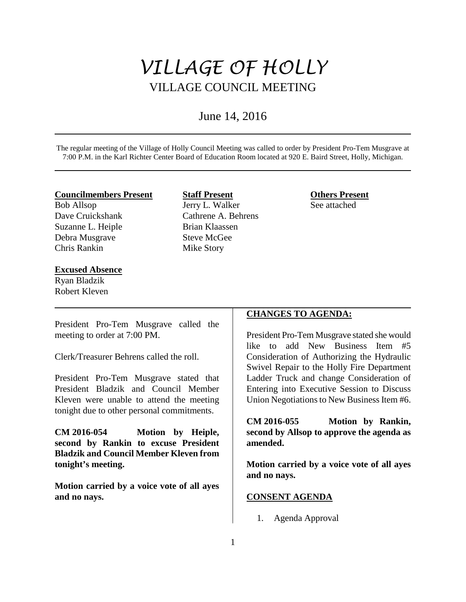# *VILLAGE OF HOLLY* VILLAGE COUNCIL MEETING

# June 14, 2016

The regular meeting of the Village of Holly Council Meeting was called to order by President Pro-Tem Musgrave at 7:00 P.M. in the Karl Richter Center Board of Education Room located at 920 E. Baird Street, Holly, Michigan.

#### **Councilmembers Present**

Bob Allsop Dave Cruickshank Suzanne L. Heiple Debra Musgrave Chris Rankin

#### **Excused Absence**

Ryan Bladzik Robert Kleven

# **Staff Present** Jerry L. Walker Cathrene A. Behrens Brian Klaassen Steve McGee Mike Story

**Others Present** See attached

President Pro-Tem Musgrave called the meeting to order at 7:00 PM.

Clerk/Treasurer Behrens called the roll.

President Pro-Tem Musgrave stated that President Bladzik and Council Member Kleven were unable to attend the meeting tonight due to other personal commitments.

**CM 2016-054 Motion by Heiple, second by Rankin to excuse President Bladzik and Council Member Kleven from tonight's meeting.** 

**Motion carried by a voice vote of all ayes and no nays.**

## **CHANGES TO AGENDA:**

President Pro-Tem Musgrave stated she would like to add New Business Item #5 Consideration of Authorizing the Hydraulic Swivel Repair to the Holly Fire Department Ladder Truck and change Consideration of Entering into Executive Session to Discuss Union Negotiations to New Business Item #6.

**CM 2016-055 Motion by Rankin, second by Allsop to approve the agenda as amended.**

**Motion carried by a voice vote of all ayes and no nays.** 

# **CONSENT AGENDA**

1. Agenda Approval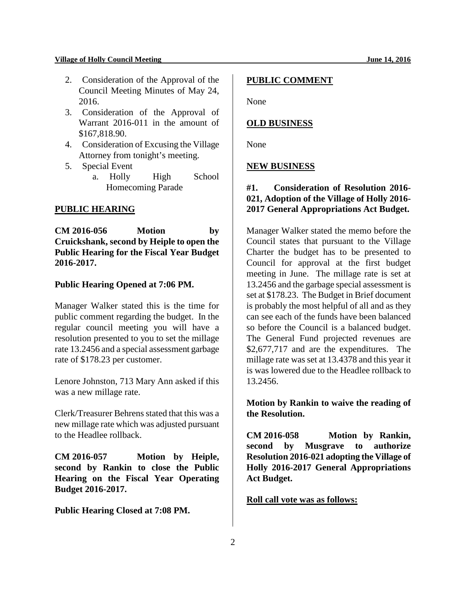- 2. Consideration of the Approval of the Council Meeting Minutes of May 24, 2016.
- 3. Consideration of the Approval of Warrant 2016-011 in the amount of \$167,818.90.
- 4. Consideration of Excusing the Village Attorney from tonight's meeting.
- 5. Special Event
	- a. Holly High School Homecoming Parade

## **PUBLIC HEARING**

**CM 2016-056 Motion by Cruickshank, second by Heiple to open the Public Hearing for the Fiscal Year Budget 2016-2017.** 

## **Public Hearing Opened at 7:06 PM.**

Manager Walker stated this is the time for public comment regarding the budget. In the regular council meeting you will have a resolution presented to you to set the millage rate 13.2456 and a special assessment garbage rate of \$178.23 per customer.

Lenore Johnston, 713 Mary Ann asked if this was a new millage rate.

Clerk/Treasurer Behrens stated that this was a new millage rate which was adjusted pursuant to the Headlee rollback.

**CM 2016-057 Motion by Heiple, second by Rankin to close the Public Hearing on the Fiscal Year Operating Budget 2016-2017.**

**Public Hearing Closed at 7:08 PM.** 

#### **PUBLIC COMMENT**

None

#### **OLD BUSINESS**

None

#### **NEW BUSINESS**

# **#1. Consideration of Resolution 2016- 021, Adoption of the Village of Holly 2016- 2017 General Appropriations Act Budget.**

Manager Walker stated the memo before the Council states that pursuant to the Village Charter the budget has to be presented to Council for approval at the first budget meeting in June. The millage rate is set at 13.2456 and the garbage special assessment is set at \$178.23. The Budget in Brief document is probably the most helpful of all and as they can see each of the funds have been balanced so before the Council is a balanced budget. The General Fund projected revenues are \$2,677,717 and are the expenditures. The millage rate was set at 13.4378 and this year it is was lowered due to the Headlee rollback to 13.2456.

**Motion by Rankin to waive the reading of the Resolution.** 

**CM 2016-058 Motion by Rankin, second by Musgrave to authorize Resolution 2016-021 adopting the Village of Holly 2016-2017 General Appropriations Act Budget.** 

**Roll call vote was as follows:**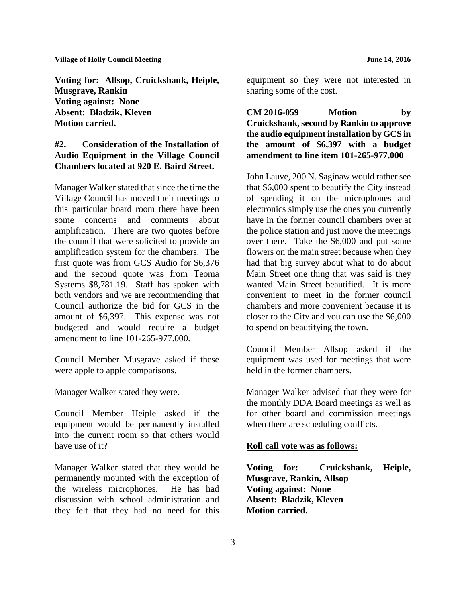**Voting for: Allsop, Cruickshank, Heiple, Musgrave, Rankin Voting against: None Absent: Bladzik, Kleven Motion carried.** 

# **#2. Consideration of the Installation of Audio Equipment in the Village Council Chambers located at 920 E. Baird Street.**

Manager Walker stated that since the time the Village Council has moved their meetings to this particular board room there have been some concerns and comments about amplification. There are two quotes before the council that were solicited to provide an amplification system for the chambers. The first quote was from GCS Audio for \$6,376 and the second quote was from Teoma Systems \$8,781.19. Staff has spoken with both vendors and we are recommending that Council authorize the bid for GCS in the amount of \$6,397. This expense was not budgeted and would require a budget amendment to line 101-265-977.000.

Council Member Musgrave asked if these were apple to apple comparisons.

Manager Walker stated they were.

Council Member Heiple asked if the equipment would be permanently installed into the current room so that others would have use of it?

Manager Walker stated that they would be permanently mounted with the exception of the wireless microphones. He has had discussion with school administration and they felt that they had no need for this

equipment so they were not interested in sharing some of the cost.

**CM 2016-059 Motion by Cruickshank, second by Rankin to approve the audio equipment installation by GCS in the amount of \$6,397 with a budget amendment to line item 101-265-977.000** 

John Lauve, 200 N. Saginaw would rather see that \$6,000 spent to beautify the City instead of spending it on the microphones and electronics simply use the ones you currently have in the former council chambers over at the police station and just move the meetings over there. Take the \$6,000 and put some flowers on the main street because when they had that big survey about what to do about Main Street one thing that was said is they wanted Main Street beautified. It is more convenient to meet in the former council chambers and more convenient because it is closer to the City and you can use the \$6,000 to spend on beautifying the town.

Council Member Allsop asked if the equipment was used for meetings that were held in the former chambers.

Manager Walker advised that they were for the monthly DDA Board meetings as well as for other board and commission meetings when there are scheduling conflicts.

#### **Roll call vote was as follows:**

**Voting for: Cruickshank, Heiple, Musgrave, Rankin, Allsop Voting against: None Absent: Bladzik, Kleven Motion carried.**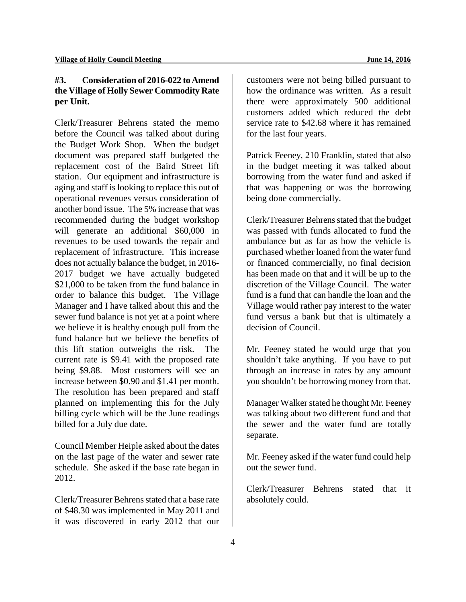# **#3. Consideration of 2016-022 to Amend the Village of Holly Sewer Commodity Rate per Unit.**

Clerk/Treasurer Behrens stated the memo before the Council was talked about during the Budget Work Shop. When the budget document was prepared staff budgeted the replacement cost of the Baird Street lift station. Our equipment and infrastructure is aging and staff is looking to replace this out of operational revenues versus consideration of another bond issue. The 5% increase that was recommended during the budget workshop will generate an additional \$60,000 in revenues to be used towards the repair and replacement of infrastructure. This increase does not actually balance the budget, in 2016- 2017 budget we have actually budgeted \$21,000 to be taken from the fund balance in order to balance this budget. The Village Manager and I have talked about this and the sewer fund balance is not yet at a point where we believe it is healthy enough pull from the fund balance but we believe the benefits of this lift station outweighs the risk. The current rate is \$9.41 with the proposed rate being \$9.88. Most customers will see an increase between \$0.90 and \$1.41 per month. The resolution has been prepared and staff planned on implementing this for the July billing cycle which will be the June readings billed for a July due date.

Council Member Heiple asked about the dates on the last page of the water and sewer rate schedule. She asked if the base rate began in 2012.

Clerk/Treasurer Behrens stated that a base rate of \$48.30 was implemented in May 2011 and it was discovered in early 2012 that our

customers were not being billed pursuant to how the ordinance was written. As a result there were approximately 500 additional customers added which reduced the debt service rate to \$42.68 where it has remained for the last four years.

Patrick Feeney, 210 Franklin, stated that also in the budget meeting it was talked about borrowing from the water fund and asked if that was happening or was the borrowing being done commercially.

Clerk/Treasurer Behrens stated that the budget was passed with funds allocated to fund the ambulance but as far as how the vehicle is purchased whether loaned from the water fund or financed commercially, no final decision has been made on that and it will be up to the discretion of the Village Council. The water fund is a fund that can handle the loan and the Village would rather pay interest to the water fund versus a bank but that is ultimately a decision of Council.

Mr. Feeney stated he would urge that you shouldn't take anything. If you have to put through an increase in rates by any amount you shouldn't be borrowing money from that.

Manager Walker stated he thought Mr. Feeney was talking about two different fund and that the sewer and the water fund are totally separate.

Mr. Feeney asked if the water fund could help out the sewer fund.

Clerk/Treasurer Behrens stated that it absolutely could.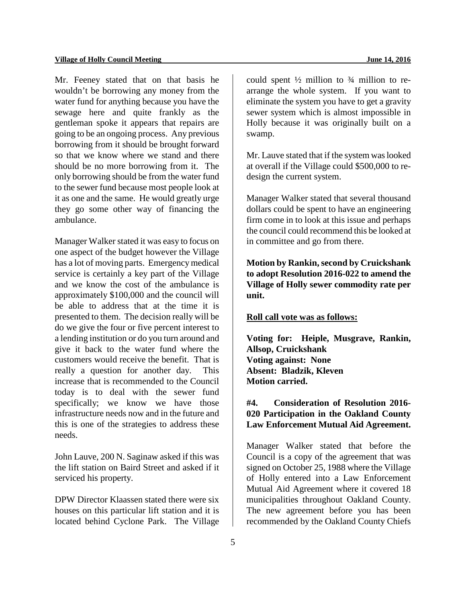Mr. Feeney stated that on that basis he wouldn't be borrowing any money from the water fund for anything because you have the sewage here and quite frankly as the gentleman spoke it appears that repairs are going to be an ongoing process. Any previous borrowing from it should be brought forward so that we know where we stand and there should be no more borrowing from it. The only borrowing should be from the water fund to the sewer fund because most people look at it as one and the same. He would greatly urge they go some other way of financing the ambulance.

Manager Walker stated it was easy to focus on one aspect of the budget however the Village has a lot of moving parts. Emergency medical service is certainly a key part of the Village and we know the cost of the ambulance is approximately \$100,000 and the council will be able to address that at the time it is presented to them. The decision really will be do we give the four or five percent interest to a lending institution or do you turn around and give it back to the water fund where the customers would receive the benefit. That is really a question for another day. This increase that is recommended to the Council today is to deal with the sewer fund specifically; we know we have those infrastructure needs now and in the future and this is one of the strategies to address these needs.

John Lauve, 200 N. Saginaw asked if this was the lift station on Baird Street and asked if it serviced his property.

DPW Director Klaassen stated there were six houses on this particular lift station and it is located behind Cyclone Park. The Village

could spent  $\frac{1}{2}$  million to  $\frac{3}{4}$  million to rearrange the whole system. If you want to eliminate the system you have to get a gravity sewer system which is almost impossible in Holly because it was originally built on a swamp.

Mr. Lauve stated that if the system was looked at overall if the Village could \$500,000 to redesign the current system.

Manager Walker stated that several thousand dollars could be spent to have an engineering firm come in to look at this issue and perhaps the council could recommend this be looked at in committee and go from there.

**Motion by Rankin, second by Cruickshank to adopt Resolution 2016-022 to amend the Village of Holly sewer commodity rate per unit.** 

#### **Roll call vote was as follows:**

**Voting for: Heiple, Musgrave, Rankin, Allsop, Cruickshank Voting against: None Absent: Bladzik, Kleven Motion carried.** 

# **#4. Consideration of Resolution 2016- 020 Participation in the Oakland County Law Enforcement Mutual Aid Agreement.**

Manager Walker stated that before the Council is a copy of the agreement that was signed on October 25, 1988 where the Village of Holly entered into a Law Enforcement Mutual Aid Agreement where it covered 18 municipalities throughout Oakland County. The new agreement before you has been recommended by the Oakland County Chiefs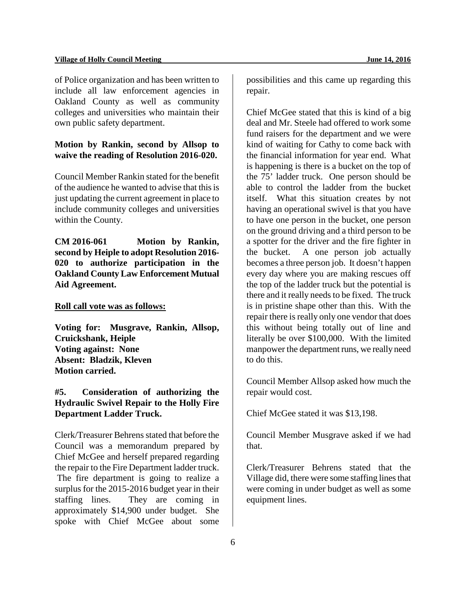#### **Village of Holly Council Meeting June 14, 2016**

of Police organization and has been written to include all law enforcement agencies in Oakland County as well as community colleges and universities who maintain their own public safety department.

# **Motion by Rankin, second by Allsop to waive the reading of Resolution 2016-020.**

Council Member Rankin stated for the benefit of the audience he wanted to advise that this is just updating the current agreement in place to include community colleges and universities within the County.

**CM 2016-061 Motion by Rankin, second by Heiple to adopt Resolution 2016- 020 to authorize participation in the Oakland County Law Enforcement Mutual Aid Agreement.**

#### **Roll call vote was as follows:**

**Voting for: Musgrave, Rankin, Allsop, Cruickshank, Heiple Voting against: None Absent: Bladzik, Kleven Motion carried.** 

# **#5. Consideration of authorizing the Hydraulic Swivel Repair to the Holly Fire Department Ladder Truck.**

Clerk/Treasurer Behrens stated that before the Council was a memorandum prepared by Chief McGee and herself prepared regarding the repair to the Fire Department ladder truck. The fire department is going to realize a surplus for the 2015-2016 budget year in their staffing lines. They are coming in approximately \$14,900 under budget. She spoke with Chief McGee about some

possibilities and this came up regarding this repair.

Chief McGee stated that this is kind of a big deal and Mr. Steele had offered to work some fund raisers for the department and we were kind of waiting for Cathy to come back with the financial information for year end. What is happening is there is a bucket on the top of the 75' ladder truck. One person should be able to control the ladder from the bucket itself. What this situation creates by not having an operational swivel is that you have to have one person in the bucket, one person on the ground driving and a third person to be a spotter for the driver and the fire fighter in the bucket. A one person job actually becomes a three person job. It doesn't happen every day where you are making rescues off the top of the ladder truck but the potential is there and it really needs to be fixed. The truck is in pristine shape other than this. With the repair there is really only one vendor that does this without being totally out of line and literally be over \$100,000. With the limited manpower the department runs, we really need to do this.

Council Member Allsop asked how much the repair would cost.

Chief McGee stated it was \$13,198.

Council Member Musgrave asked if we had that.

Clerk/Treasurer Behrens stated that the Village did, there were some staffing lines that were coming in under budget as well as some equipment lines.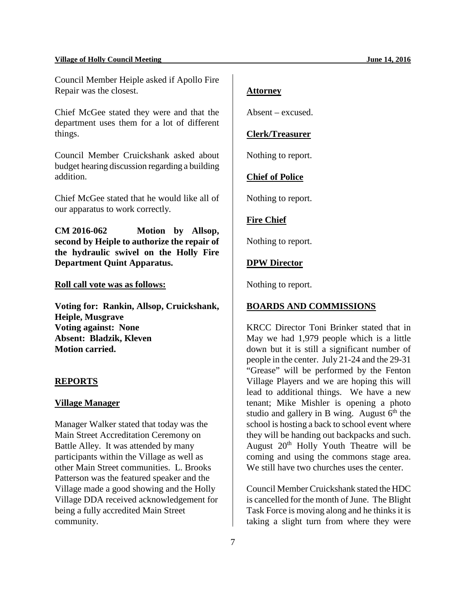#### **Village of Holly Council Meeting June 14, 2016**

Council Member Heiple asked if Apollo Fire Repair was the closest.

Chief McGee stated they were and that the department uses them for a lot of different things.

Council Member Cruickshank asked about budget hearing discussion regarding a building addition.

Chief McGee stated that he would like all of our apparatus to work correctly.

**CM 2016-062 Motion by Allsop, second by Heiple to authorize the repair of the hydraulic swivel on the Holly Fire Department Quint Apparatus.**

## **Roll call vote was as follows:**

**Voting for: Rankin, Allsop, Cruickshank, Heiple, Musgrave Voting against: None Absent: Bladzik, Kleven Motion carried.** 

#### **REPORTS**

#### **Village Manager**

Manager Walker stated that today was the Main Street Accreditation Ceremony on Battle Alley. It was attended by many participants within the Village as well as other Main Street communities. L. Brooks Patterson was the featured speaker and the Village made a good showing and the Holly Village DDA received acknowledgement for being a fully accredited Main Street community.

## **Attorney**

Absent – excused.

## **Clerk/Treasurer**

Nothing to report.

## **Chief of Police**

Nothing to report.

#### **Fire Chief**

Nothing to report.

#### **DPW Director**

Nothing to report.

## **BOARDS AND COMMISSIONS**

KRCC Director Toni Brinker stated that in May we had 1,979 people which is a little down but it is still a significant number of people in the center. July 21-24 and the 29-31 "Grease" will be performed by the Fenton Village Players and we are hoping this will lead to additional things. We have a new tenant; Mike Mishler is opening a photo studio and gallery in B wing. August  $6<sup>th</sup>$  the school is hosting a back to school event where they will be handing out backpacks and such. August 20<sup>th</sup> Holly Youth Theatre will be coming and using the commons stage area. We still have two churches uses the center.

Council Member Cruickshank stated the HDC is cancelled for the month of June. The Blight Task Force is moving along and he thinks it is taking a slight turn from where they were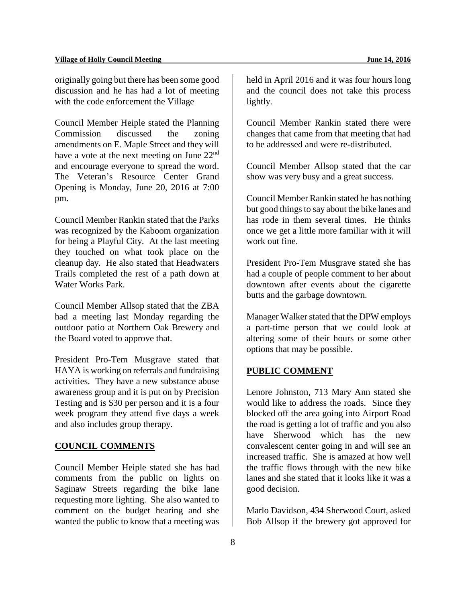originally going but there has been some good discussion and he has had a lot of meeting with the code enforcement the Village

Council Member Heiple stated the Planning Commission discussed the zoning amendments on E. Maple Street and they will have a vote at the next meeting on June 22<sup>nd</sup> and encourage everyone to spread the word. The Veteran's Resource Center Grand Opening is Monday, June 20, 2016 at 7:00 pm.

Council Member Rankin stated that the Parks was recognized by the Kaboom organization for being a Playful City. At the last meeting they touched on what took place on the cleanup day. He also stated that Headwaters Trails completed the rest of a path down at Water Works Park.

Council Member Allsop stated that the ZBA had a meeting last Monday regarding the outdoor patio at Northern Oak Brewery and the Board voted to approve that.

President Pro-Tem Musgrave stated that HAYA is working on referrals and fundraising activities. They have a new substance abuse awareness group and it is put on by Precision Testing and is \$30 per person and it is a four week program they attend five days a week and also includes group therapy.

## **COUNCIL COMMENTS**

Council Member Heiple stated she has had comments from the public on lights on Saginaw Streets regarding the bike lane requesting more lighting. She also wanted to comment on the budget hearing and she wanted the public to know that a meeting was

held in April 2016 and it was four hours long and the council does not take this process lightly.

Council Member Rankin stated there were changes that came from that meeting that had to be addressed and were re-distributed.

Council Member Allsop stated that the car show was very busy and a great success.

Council Member Rankin stated he has nothing but good things to say about the bike lanes and has rode in them several times. He thinks once we get a little more familiar with it will work out fine.

President Pro-Tem Musgrave stated she has had a couple of people comment to her about downtown after events about the cigarette butts and the garbage downtown.

Manager Walker stated that the DPW employs a part-time person that we could look at altering some of their hours or some other options that may be possible.

#### **PUBLIC COMMENT**

Lenore Johnston, 713 Mary Ann stated she would like to address the roads. Since they blocked off the area going into Airport Road the road is getting a lot of traffic and you also have Sherwood which has the new convalescent center going in and will see an increased traffic. She is amazed at how well the traffic flows through with the new bike lanes and she stated that it looks like it was a good decision.

Marlo Davidson, 434 Sherwood Court, asked Bob Allsop if the brewery got approved for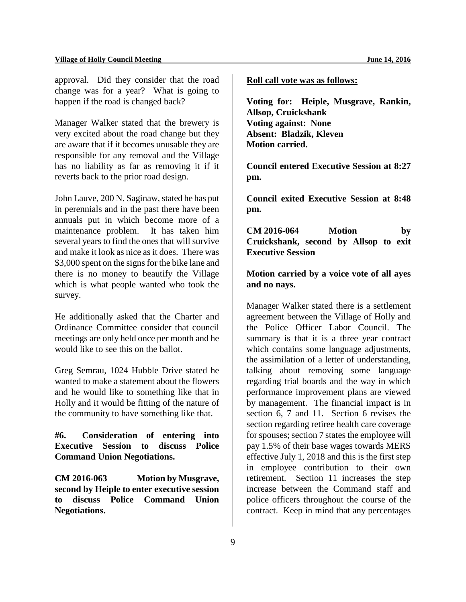#### **Village of Holly Council Meeting June 14, 2016**

approval. Did they consider that the road change was for a year? What is going to happen if the road is changed back?

Manager Walker stated that the brewery is very excited about the road change but they are aware that if it becomes unusable they are responsible for any removal and the Village has no liability as far as removing it if it reverts back to the prior road design.

John Lauve, 200 N. Saginaw, stated he has put in perennials and in the past there have been annuals put in which become more of a maintenance problem. It has taken him several years to find the ones that will survive and make it look as nice as it does. There was \$3,000 spent on the signs for the bike lane and there is no money to beautify the Village which is what people wanted who took the survey.

He additionally asked that the Charter and Ordinance Committee consider that council meetings are only held once per month and he would like to see this on the ballot.

Greg Semrau, 1024 Hubble Drive stated he wanted to make a statement about the flowers and he would like to something like that in Holly and it would be fitting of the nature of the community to have something like that.

**#6. Consideration of entering into Executive Session to discuss Police Command Union Negotiations.**

**CM 2016-063 Motion by Musgrave, second by Heiple to enter executive session to discuss Police Command Union Negotiations.**

**Roll call vote was as follows:**

**Voting for: Heiple, Musgrave, Rankin, Allsop, Cruickshank Voting against: None Absent: Bladzik, Kleven Motion carried.** 

**Council entered Executive Session at 8:27 pm.** 

**Council exited Executive Session at 8:48 pm.**

**CM 2016-064 Motion by Cruickshank, second by Allsop to exit Executive Session**

**Motion carried by a voice vote of all ayes and no nays.**

Manager Walker stated there is a settlement agreement between the Village of Holly and the Police Officer Labor Council. The summary is that it is a three year contract which contains some language adjustments, the assimilation of a letter of understanding, talking about removing some language regarding trial boards and the way in which performance improvement plans are viewed by management. The financial impact is in section 6, 7 and 11. Section 6 revises the section regarding retiree health care coverage for spouses; section 7 states the employee will pay 1.5% of their base wages towards MERS effective July 1, 2018 and this is the first step in employee contribution to their own retirement. Section 11 increases the step increase between the Command staff and police officers throughout the course of the contract. Keep in mind that any percentages